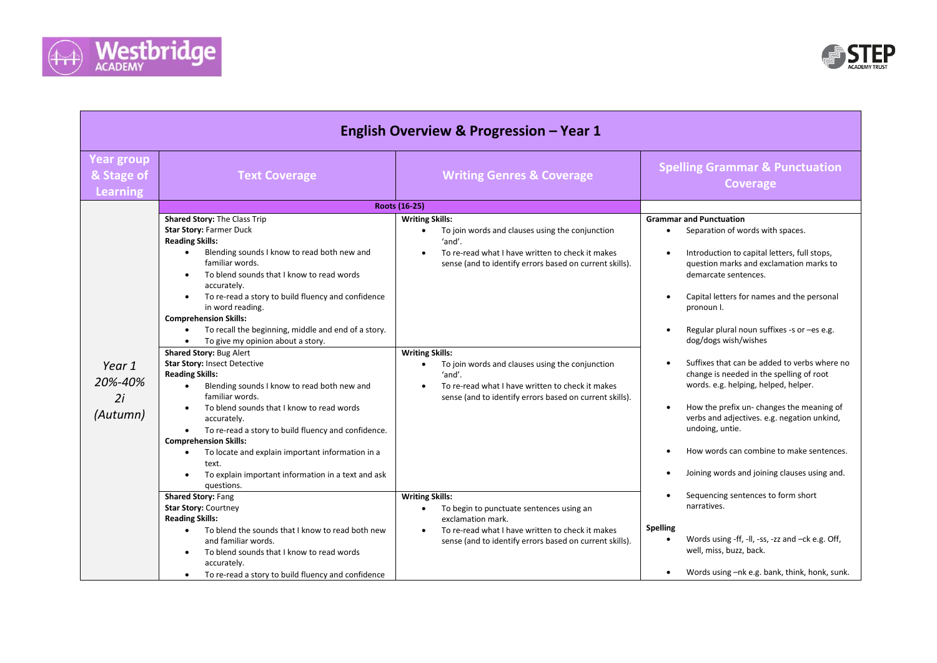



|                                             |                                                                                                                                                                                                                                                                                                                                                                                                                                                                                                                                                                                                                                                                           | <b>English Overview &amp; Progression - Year 1</b>                                                                                                                                                                                                                                                                                                                                                                    |                                                                                                                                                                                                                                                                                                                                                                                                                                                                                                                                                                                                 |
|---------------------------------------------|---------------------------------------------------------------------------------------------------------------------------------------------------------------------------------------------------------------------------------------------------------------------------------------------------------------------------------------------------------------------------------------------------------------------------------------------------------------------------------------------------------------------------------------------------------------------------------------------------------------------------------------------------------------------------|-----------------------------------------------------------------------------------------------------------------------------------------------------------------------------------------------------------------------------------------------------------------------------------------------------------------------------------------------------------------------------------------------------------------------|-------------------------------------------------------------------------------------------------------------------------------------------------------------------------------------------------------------------------------------------------------------------------------------------------------------------------------------------------------------------------------------------------------------------------------------------------------------------------------------------------------------------------------------------------------------------------------------------------|
| <b>Year group</b><br>& Stage of<br>Learning | <b>Text Coverage</b>                                                                                                                                                                                                                                                                                                                                                                                                                                                                                                                                                                                                                                                      | <b>Writing Genres &amp; Coverage</b>                                                                                                                                                                                                                                                                                                                                                                                  | <b>Spelling Grammar &amp; Punctuation</b><br><b>Coverage</b>                                                                                                                                                                                                                                                                                                                                                                                                                                                                                                                                    |
|                                             |                                                                                                                                                                                                                                                                                                                                                                                                                                                                                                                                                                                                                                                                           | Roots (16-25)                                                                                                                                                                                                                                                                                                                                                                                                         |                                                                                                                                                                                                                                                                                                                                                                                                                                                                                                                                                                                                 |
| Year 1<br>20%-40%<br>2i<br>(Autumn)         | Shared Story: The Class Trip<br>Star Story: Farmer Duck<br><b>Reading Skills:</b><br>Blending sounds I know to read both new and<br>$\bullet$<br>familiar words.<br>To blend sounds that I know to read words<br>accurately.<br>To re-read a story to build fluency and confidence<br>in word reading.<br><b>Comprehension Skills:</b><br>To recall the beginning, middle and end of a story.<br>To give my opinion about a story.<br>Shared Story: Bug Alert<br><b>Star Story: Insect Detective</b><br><b>Reading Skills:</b><br>Blending sounds I know to read both new and<br>$\bullet$<br>familiar words.<br>To blend sounds that I know to read words<br>accurately. | <b>Writing Skills:</b><br>To join words and clauses using the conjunction<br>$\bullet$<br>'and'.<br>To re-read what I have written to check it makes<br>sense (and to identify errors based on current skills).<br><b>Writing Skills:</b><br>To join words and clauses using the conjunction<br>'and'.<br>To re-read what I have written to check it makes<br>sense (and to identify errors based on current skills). | <b>Grammar and Punctuation</b><br>Separation of words with spaces.<br>Introduction to capital letters, full stops,<br>$\bullet$<br>question marks and exclamation marks to<br>demarcate sentences.<br>Capital letters for names and the personal<br>$\bullet$<br>pronoun I.<br>Regular plural noun suffixes -s or -es e.g.<br>dog/dogs wish/wishes<br>Suffixes that can be added to verbs where no<br>change is needed in the spelling of root<br>words. e.g. helping, helped, helper.<br>How the prefix un- changes the meaning of<br>$\bullet$<br>verbs and adjectives. e.g. negation unkind, |
|                                             | To re-read a story to build fluency and confidence.<br>$\bullet$<br><b>Comprehension Skills:</b><br>To locate and explain important information in a<br>text.<br>To explain important information in a text and ask<br>questions.<br><b>Shared Story: Fang</b><br>Star Story: Courtney<br><b>Reading Skills:</b><br>To blend the sounds that I know to read both new<br>$\bullet$<br>and familiar words.<br>To blend sounds that I know to read words                                                                                                                                                                                                                     | <b>Writing Skills:</b><br>To begin to punctuate sentences using an<br>$\bullet$<br>exclamation mark.<br>To re-read what I have written to check it makes<br>sense (and to identify errors based on current skills).                                                                                                                                                                                                   | undoing, untie.<br>How words can combine to make sentences.<br>Joining words and joining clauses using and.<br>Sequencing sentences to form short<br>narratives.<br><b>Spelling</b><br>Words using -ff, -II, -ss, -zz and -ck e.g. Off,<br>$\bullet$<br>well, miss, buzz, back.                                                                                                                                                                                                                                                                                                                 |
|                                             | accurately.<br>To re-read a story to build fluency and confidence<br>$\bullet$                                                                                                                                                                                                                                                                                                                                                                                                                                                                                                                                                                                            |                                                                                                                                                                                                                                                                                                                                                                                                                       | Words using -nk e.g. bank, think, honk, sunk.                                                                                                                                                                                                                                                                                                                                                                                                                                                                                                                                                   |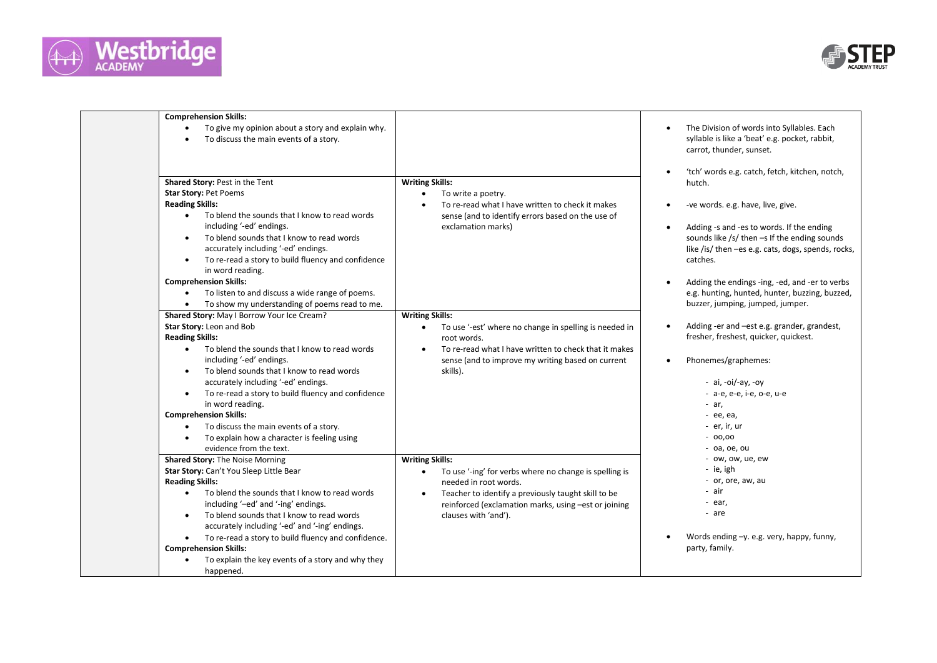



| <b>Comprehension Skills:</b>                                                                                                                                                                                                                                                                                                                                                                                                                                                                                                                                                                                                            |                                                                                                                                                                                                                                                                  |                                                                                                                                                                                                                                                                                                                                                                  |
|-----------------------------------------------------------------------------------------------------------------------------------------------------------------------------------------------------------------------------------------------------------------------------------------------------------------------------------------------------------------------------------------------------------------------------------------------------------------------------------------------------------------------------------------------------------------------------------------------------------------------------------------|------------------------------------------------------------------------------------------------------------------------------------------------------------------------------------------------------------------------------------------------------------------|------------------------------------------------------------------------------------------------------------------------------------------------------------------------------------------------------------------------------------------------------------------------------------------------------------------------------------------------------------------|
| To give my opinion about a story and explain why.<br>To discuss the main events of a story.                                                                                                                                                                                                                                                                                                                                                                                                                                                                                                                                             |                                                                                                                                                                                                                                                                  | The Division of words into Syllables. Each<br>syllable is like a 'beat' e.g. pocket, rabbit,<br>carrot, thunder, sunset.                                                                                                                                                                                                                                         |
| Shared Story: Pest in the Tent<br><b>Star Story: Pet Poems</b><br><b>Reading Skills:</b><br>To blend the sounds that I know to read words<br>$\bullet$<br>including '-ed' endings.<br>To blend sounds that I know to read words<br>$\bullet$<br>accurately including '-ed' endings.<br>To re-read a story to build fluency and confidence<br>$\bullet$<br>in word reading.<br><b>Comprehension Skills:</b><br>To listen to and discuss a wide range of poems.                                                                                                                                                                           | <b>Writing Skills:</b><br>To write a poetry.<br>$\bullet$<br>To re-read what I have written to check it makes<br>sense (and to identify errors based on the use of<br>exclamation marks)                                                                         | 'tch' words e.g. catch, fetch, kitchen, notch,<br>hutch.<br>-ve words. e.g. have, live, give.<br>Adding -s and -es to words. If the ending<br>sounds like /s/ then -s If the ending sounds<br>like /is/ then -es e.g. cats, dogs, spends, rocks,<br>catches.<br>Adding the endings -ing, -ed, and -er to verbs<br>e.g. hunting, hunted, hunter, buzzing, buzzed, |
| To show my understanding of poems read to me.<br>Shared Story: May I Borrow Your Ice Cream?<br>Star Story: Leon and Bob<br><b>Reading Skills:</b><br>To blend the sounds that I know to read words<br>$\bullet$<br>including '-ed' endings.<br>To blend sounds that I know to read words<br>$\bullet$<br>accurately including '-ed' endings.<br>To re-read a story to build fluency and confidence<br>$\bullet$<br>in word reading.<br><b>Comprehension Skills:</b><br>To discuss the main events of a story.<br>$\bullet$<br>To explain how a character is feeling using<br>evidence from the text.<br>Shared Story: The Noise Morning | <b>Writing Skills:</b><br>To use '-est' where no change in spelling is needed in<br>root words.<br>To re-read what I have written to check that it makes<br>$\bullet$<br>sense (and to improve my writing based on current<br>skills).<br><b>Writing Skills:</b> | buzzer, jumping, jumped, jumper.<br>Adding -er and -est e.g. grander, grandest,<br>fresher, freshest, quicker, quickest.<br>Phonemes/graphemes:<br>- ai, -oi/-ay, -oy<br>- a-e, e-e, i-e, o-e, u-e<br>- ar,<br>- ее, еа,<br>- er, ir, ur<br>$-00,00$<br>$-$ 0a, 0e, ou<br>- ow, ow, ue, ew                                                                       |
| Star Story: Can't You Sleep Little Bear<br><b>Reading Skills:</b><br>To blend the sounds that I know to read words<br>$\bullet$<br>including '-ed' and '-ing' endings.<br>To blend sounds that I know to read words<br>$\bullet$<br>accurately including '-ed' and '-ing' endings.<br>To re-read a story to build fluency and confidence.<br><b>Comprehension Skills:</b><br>To explain the key events of a story and why they<br>happened.                                                                                                                                                                                             | To use '-ing' for verbs where no change is spelling is<br>needed in root words.<br>Teacher to identify a previously taught skill to be<br>$\bullet$<br>reinforced (exclamation marks, using -est or joining<br>clauses with 'and').                              | - ie, igh<br>- or, ore, aw, au<br>- air<br>- ear,<br>- are<br>Words ending -y. e.g. very, happy, funny,<br>party, family.                                                                                                                                                                                                                                        |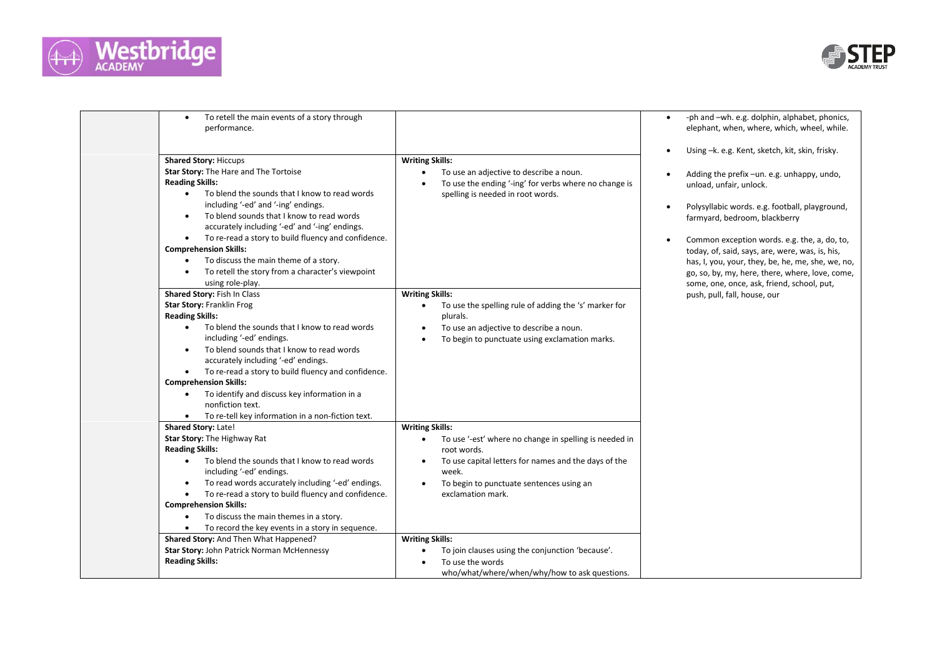



| To retell the main events of a story through<br>$\bullet$<br>performance.                                                                                                                                                                                                                                                                                                                                                                                                                                                                                                                                      |                                                                                                                                                                                                                                                                                           | -ph and -wh. e.g. dolphin, alphabet, phonics,<br>elephant, when, where, which, wheel, while.                                                                                                                                                                                                                                                                                                                                                                                                         |
|----------------------------------------------------------------------------------------------------------------------------------------------------------------------------------------------------------------------------------------------------------------------------------------------------------------------------------------------------------------------------------------------------------------------------------------------------------------------------------------------------------------------------------------------------------------------------------------------------------------|-------------------------------------------------------------------------------------------------------------------------------------------------------------------------------------------------------------------------------------------------------------------------------------------|------------------------------------------------------------------------------------------------------------------------------------------------------------------------------------------------------------------------------------------------------------------------------------------------------------------------------------------------------------------------------------------------------------------------------------------------------------------------------------------------------|
| <b>Shared Story: Hiccups</b><br>Star Story: The Hare and The Tortoise<br><b>Reading Skills:</b><br>To blend the sounds that I know to read words<br>$\bullet$<br>including '-ed' and '-ing' endings.<br>To blend sounds that I know to read words<br>$\bullet$<br>accurately including '-ed' and '-ing' endings.<br>To re-read a story to build fluency and confidence.<br>$\bullet$<br><b>Comprehension Skills:</b><br>To discuss the main theme of a story.<br>$\bullet$<br>To retell the story from a character's viewpoint<br>using role-play.<br>Shared Story: Fish In Class<br>Star Story: Franklin Frog | <b>Writing Skills:</b><br>To use an adjective to describe a noun.<br>$\bullet$<br>To use the ending '-ing' for verbs where no change is<br>$\bullet$<br>spelling is needed in root words.<br><b>Writing Skills:</b><br>To use the spelling rule of adding the 's' marker for<br>$\bullet$ | Using -k. e.g. Kent, sketch, kit, skin, frisky.<br>Adding the prefix -un. e.g. unhappy, undo,<br>unload, unfair, unlock.<br>Polysyllabic words. e.g. football, playground,<br>farmyard, bedroom, blackberry<br>Common exception words. e.g. the, a, do, to,<br>today, of, said, says, are, were, was, is, his,<br>has, I, you, your, they, be, he, me, she, we, no,<br>go, so, by, my, here, there, where, love, come,<br>some, one, once, ask, friend, school, put,<br>push, pull, fall, house, our |
| <b>Reading Skills:</b><br>To blend the sounds that I know to read words<br>$\bullet$<br>including '-ed' endings.<br>To blend sounds that I know to read words<br>$\bullet$<br>accurately including '-ed' endings.<br>To re-read a story to build fluency and confidence.<br><b>Comprehension Skills:</b><br>To identify and discuss key information in a<br>$\bullet$<br>nonfiction text.<br>To re-tell key information in a non-fiction text.<br>$\bullet$                                                                                                                                                    | plurals.<br>To use an adjective to describe a noun.<br>To begin to punctuate using exclamation marks.                                                                                                                                                                                     |                                                                                                                                                                                                                                                                                                                                                                                                                                                                                                      |
| Shared Story: Late!<br>Star Story: The Highway Rat<br><b>Reading Skills:</b><br>To blend the sounds that I know to read words<br>including '-ed' endings.<br>To read words accurately including '-ed' endings.<br>To re-read a story to build fluency and confidence.<br><b>Comprehension Skills:</b><br>To discuss the main themes in a story.<br>$\bullet$<br>To record the key events in a story in sequence.<br>$\bullet$                                                                                                                                                                                  | <b>Writing Skills:</b><br>To use '-est' where no change in spelling is needed in<br>$\bullet$<br>root words.<br>To use capital letters for names and the days of the<br>week.<br>To begin to punctuate sentences using an<br>$\bullet$<br>exclamation mark.                               |                                                                                                                                                                                                                                                                                                                                                                                                                                                                                                      |
| Shared Story: And Then What Happened?<br>Star Story: John Patrick Norman McHennessy<br><b>Reading Skills:</b>                                                                                                                                                                                                                                                                                                                                                                                                                                                                                                  | <b>Writing Skills:</b><br>To join clauses using the conjunction 'because'.<br>To use the words<br>who/what/where/when/why/how to ask questions.                                                                                                                                           |                                                                                                                                                                                                                                                                                                                                                                                                                                                                                                      |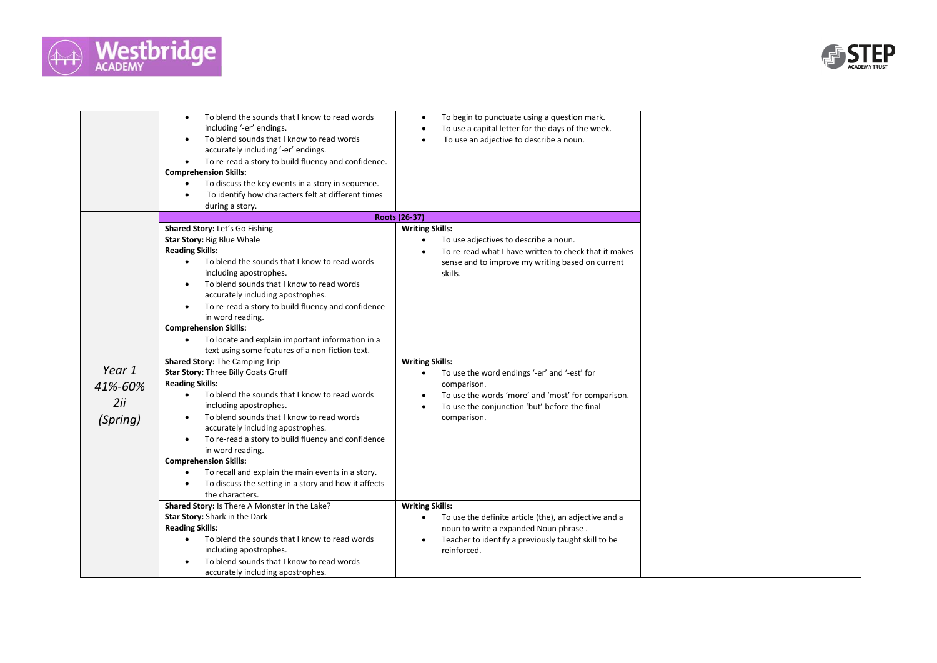



|                                      | To blend the sounds that I know to read words<br>$\bullet$<br>including '-er' endings.<br>To blend sounds that I know to read words<br>$\bullet$<br>accurately including '-er' endings.<br>To re-read a story to build fluency and confidence.<br>$\bullet$<br><b>Comprehension Skills:</b><br>To discuss the key events in a story in sequence.<br>$\bullet$<br>To identify how characters felt at different times<br>٠<br>during a story.                                                                                           | To begin to punctuate using a question mark.<br>To use a capital letter for the days of the week.<br>To use an adjective to describe a noun.                                                                      |  |
|--------------------------------------|---------------------------------------------------------------------------------------------------------------------------------------------------------------------------------------------------------------------------------------------------------------------------------------------------------------------------------------------------------------------------------------------------------------------------------------------------------------------------------------------------------------------------------------|-------------------------------------------------------------------------------------------------------------------------------------------------------------------------------------------------------------------|--|
|                                      |                                                                                                                                                                                                                                                                                                                                                                                                                                                                                                                                       | Roots (26-37)                                                                                                                                                                                                     |  |
|                                      | Shared Story: Let's Go Fishing<br>Star Story: Big Blue Whale<br><b>Reading Skills:</b><br>To blend the sounds that I know to read words<br>$\bullet$<br>including apostrophes.<br>To blend sounds that I know to read words<br>$\bullet$<br>accurately including apostrophes.<br>To re-read a story to build fluency and confidence<br>٠<br>in word reading.<br><b>Comprehension Skills:</b><br>To locate and explain important information in a<br>text using some features of a non-fiction text.<br>Shared Story: The Camping Trip | <b>Writing Skills:</b><br>To use adjectives to describe a noun.<br>To re-read what I have written to check that it makes<br>sense and to improve my writing based on current<br>skills.<br><b>Writing Skills:</b> |  |
| Year 1<br>41%-60%<br>2ii<br>(Spring) | Star Story: Three Billy Goats Gruff<br><b>Reading Skills:</b><br>To blend the sounds that I know to read words<br>$\bullet$<br>including apostrophes.<br>To blend sounds that I know to read words<br>$\bullet$<br>accurately including apostrophes.<br>To re-read a story to build fluency and confidence<br>$\bullet$<br>in word reading.<br><b>Comprehension Skills:</b><br>To recall and explain the main events in a story.<br>To discuss the setting in a story and how it affects<br>the characters.                           | To use the word endings '-er' and '-est' for<br>$\bullet$<br>comparison.<br>To use the words 'more' and 'most' for comparison.<br>To use the conjunction 'but' before the final<br>$\bullet$<br>comparison.       |  |
|                                      | Shared Story: Is There A Monster in the Lake?<br>Star Story: Shark in the Dark<br><b>Reading Skills:</b><br>To blend the sounds that I know to read words<br>$\bullet$<br>including apostrophes.<br>To blend sounds that I know to read words<br>accurately including apostrophes.                                                                                                                                                                                                                                                    | <b>Writing Skills:</b><br>To use the definite article (the), an adjective and a<br>noun to write a expanded Noun phrase.<br>Teacher to identify a previously taught skill to be<br>reinforced.                    |  |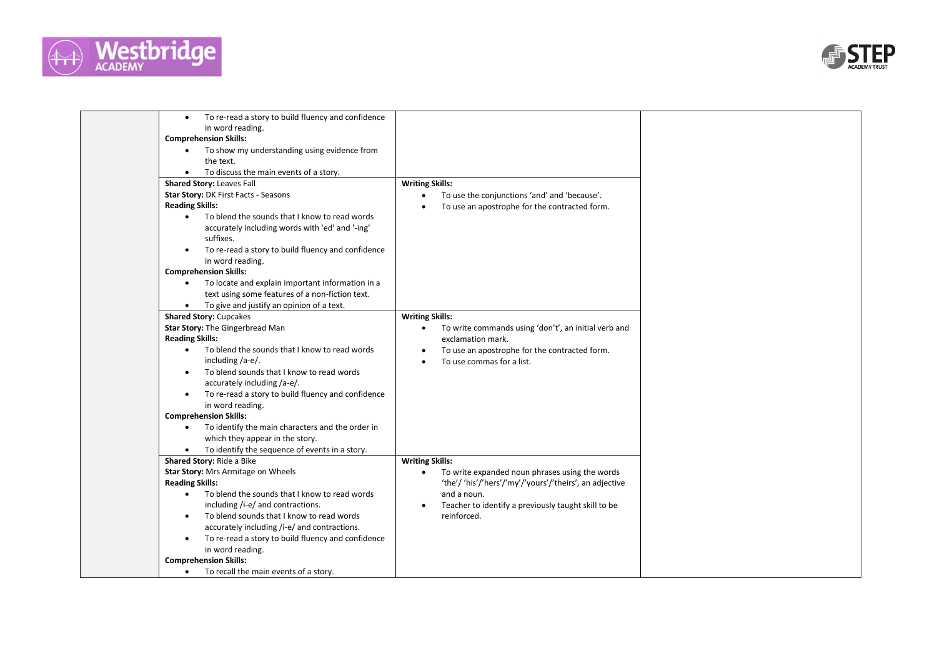



| To re-read a story to build fluency and confidence<br>$\bullet$<br>in word reading.<br><b>Comprehension Skills:</b><br>To show my understanding using evidence from<br>the text.<br>To discuss the main events of a story.<br>$\bullet$<br>Shared Story: Leaves Fall<br>Star Story: DK First Facts - Seasons<br><b>Reading Skills:</b><br>To blend the sounds that I know to read words<br>$\bullet$<br>accurately including words with 'ed' and '-ing'<br>suffixes.<br>To re-read a story to build fluency and confidence<br>in word reading.<br><b>Comprehension Skills:</b><br>To locate and explain important information in a<br>$\bullet$<br>text using some features of a non-fiction text. | <b>Writing Skills:</b><br>To use the conjunctions 'and' and 'because'.<br>$\bullet$<br>To use an apostrophe for the contracted form.<br>$\bullet$ |  |
|----------------------------------------------------------------------------------------------------------------------------------------------------------------------------------------------------------------------------------------------------------------------------------------------------------------------------------------------------------------------------------------------------------------------------------------------------------------------------------------------------------------------------------------------------------------------------------------------------------------------------------------------------------------------------------------------------|---------------------------------------------------------------------------------------------------------------------------------------------------|--|
| To give and justify an opinion of a text.<br>$\bullet$                                                                                                                                                                                                                                                                                                                                                                                                                                                                                                                                                                                                                                             |                                                                                                                                                   |  |
| <b>Shared Story: Cupcakes</b>                                                                                                                                                                                                                                                                                                                                                                                                                                                                                                                                                                                                                                                                      | <b>Writing Skills:</b>                                                                                                                            |  |
| Star Story: The Gingerbread Man                                                                                                                                                                                                                                                                                                                                                                                                                                                                                                                                                                                                                                                                    | To write commands using 'don't', an initial verb and<br>$\bullet$                                                                                 |  |
| <b>Reading Skills:</b>                                                                                                                                                                                                                                                                                                                                                                                                                                                                                                                                                                                                                                                                             | exclamation mark.                                                                                                                                 |  |
| To blend the sounds that I know to read words<br>$\bullet$                                                                                                                                                                                                                                                                                                                                                                                                                                                                                                                                                                                                                                         | To use an apostrophe for the contracted form.<br>$\bullet$                                                                                        |  |
| including /a-e/.                                                                                                                                                                                                                                                                                                                                                                                                                                                                                                                                                                                                                                                                                   | To use commas for a list.<br>$\bullet$                                                                                                            |  |
| To blend sounds that I know to read words<br>$\bullet$                                                                                                                                                                                                                                                                                                                                                                                                                                                                                                                                                                                                                                             |                                                                                                                                                   |  |
| accurately including /a-e/.                                                                                                                                                                                                                                                                                                                                                                                                                                                                                                                                                                                                                                                                        |                                                                                                                                                   |  |
| To re-read a story to build fluency and confidence<br>in word reading.                                                                                                                                                                                                                                                                                                                                                                                                                                                                                                                                                                                                                             |                                                                                                                                                   |  |
| <b>Comprehension Skills:</b>                                                                                                                                                                                                                                                                                                                                                                                                                                                                                                                                                                                                                                                                       |                                                                                                                                                   |  |
| To identify the main characters and the order in<br>$\bullet$                                                                                                                                                                                                                                                                                                                                                                                                                                                                                                                                                                                                                                      |                                                                                                                                                   |  |
| which they appear in the story.                                                                                                                                                                                                                                                                                                                                                                                                                                                                                                                                                                                                                                                                    |                                                                                                                                                   |  |
| To identify the sequence of events in a story.                                                                                                                                                                                                                                                                                                                                                                                                                                                                                                                                                                                                                                                     |                                                                                                                                                   |  |
| Shared Story: Ride a Bike                                                                                                                                                                                                                                                                                                                                                                                                                                                                                                                                                                                                                                                                          | <b>Writing Skills:</b>                                                                                                                            |  |
| Star Story: Mrs Armitage on Wheels                                                                                                                                                                                                                                                                                                                                                                                                                                                                                                                                                                                                                                                                 | To write expanded noun phrases using the words<br>$\bullet$                                                                                       |  |
| <b>Reading Skills:</b>                                                                                                                                                                                                                                                                                                                                                                                                                                                                                                                                                                                                                                                                             | 'the'/ 'his'/'hers'/'my'/'yours'/'theirs', an adjective                                                                                           |  |
| To blend the sounds that I know to read words<br>$\bullet$                                                                                                                                                                                                                                                                                                                                                                                                                                                                                                                                                                                                                                         | and a noun.                                                                                                                                       |  |
| including /i-e/ and contractions.                                                                                                                                                                                                                                                                                                                                                                                                                                                                                                                                                                                                                                                                  | Teacher to identify a previously taught skill to be<br>$\bullet$                                                                                  |  |
| To blend sounds that I know to read words<br>$\bullet$                                                                                                                                                                                                                                                                                                                                                                                                                                                                                                                                                                                                                                             | reinforced.                                                                                                                                       |  |
| accurately including /i-e/ and contractions.                                                                                                                                                                                                                                                                                                                                                                                                                                                                                                                                                                                                                                                       |                                                                                                                                                   |  |
| To re-read a story to build fluency and confidence                                                                                                                                                                                                                                                                                                                                                                                                                                                                                                                                                                                                                                                 |                                                                                                                                                   |  |
| in word reading.                                                                                                                                                                                                                                                                                                                                                                                                                                                                                                                                                                                                                                                                                   |                                                                                                                                                   |  |
| <b>Comprehension Skills:</b>                                                                                                                                                                                                                                                                                                                                                                                                                                                                                                                                                                                                                                                                       |                                                                                                                                                   |  |
| To recall the main events of a story.<br>$\bullet$                                                                                                                                                                                                                                                                                                                                                                                                                                                                                                                                                                                                                                                 |                                                                                                                                                   |  |
|                                                                                                                                                                                                                                                                                                                                                                                                                                                                                                                                                                                                                                                                                                    |                                                                                                                                                   |  |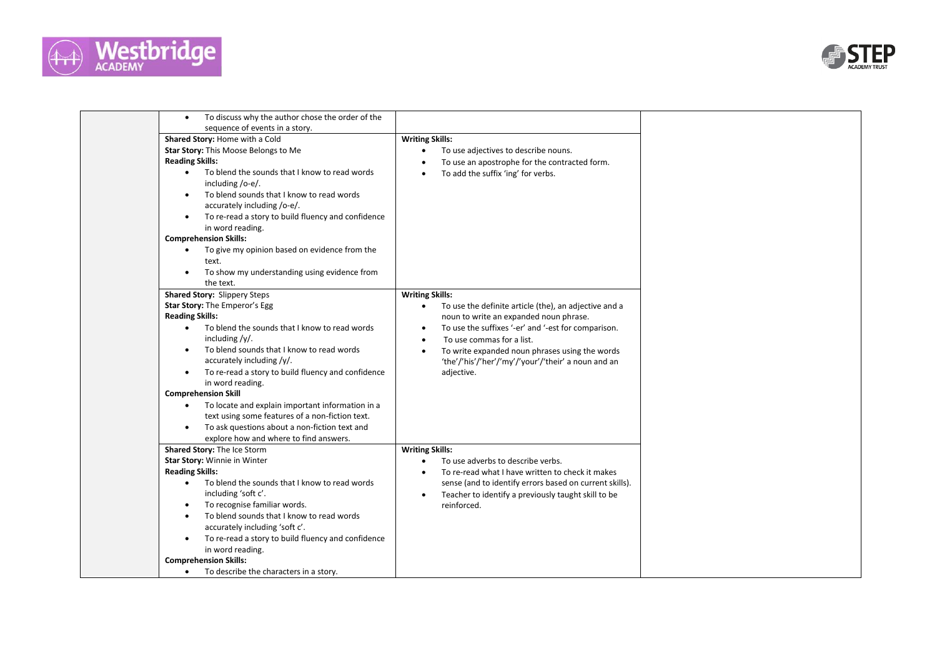



| To discuss why the author chose the order of the<br>sequence of events in a story.<br><b>Writing Skills:</b><br>Shared Story: Home with a Cold<br>Star Story: This Moose Belongs to Me<br>To use adjectives to describe nouns.<br><b>Reading Skills:</b><br>To use an apostrophe for the contracted form.<br>To blend the sounds that I know to read words<br>$\bullet$<br>To add the suffix 'ing' for verbs.<br>including /o-e/.<br>To blend sounds that I know to read words<br>$\bullet$<br>accurately including /o-e/.<br>To re-read a story to build fluency and confidence<br>$\bullet$<br>in word reading.<br><b>Comprehension Skills:</b><br>To give my opinion based on evidence from the<br>text.<br>To show my understanding using evidence from<br>the text.<br>Shared Story: Slippery Steps<br><b>Writing Skills:</b><br>Star Story: The Emperor's Egg<br>To use the definite article (the), an adjective and a<br>$\bullet$<br><b>Reading Skills:</b><br>noun to write an expanded noun phrase.<br>To blend the sounds that I know to read words<br>To use the suffixes '-er' and '-est for comparison.<br>$\bullet$<br>$\bullet$<br>including /y/.<br>To use commas for a list.<br>$\bullet$<br>To blend sounds that I know to read words<br>To write expanded noun phrases using the words<br>$\bullet$<br>accurately including /y/.<br>'the'/'his'/'her'/'my'/'your'/'their' a noun and an<br>To re-read a story to build fluency and confidence<br>adjective.<br>$\bullet$<br>in word reading.<br><b>Comprehension Skill</b><br>To locate and explain important information in a<br>text using some features of a non-fiction text.<br>To ask questions about a non-fiction text and<br>explore how and where to find answers.<br>Shared Story: The Ice Storm<br><b>Writing Skills:</b><br>Star Story: Winnie in Winter<br>To use adverbs to describe verbs.<br><b>Reading Skills:</b><br>To re-read what I have written to check it makes<br>$\bullet$<br>To blend the sounds that I know to read words<br>sense (and to identify errors based on current skills).<br>$\bullet$<br>including 'soft c'.<br>Teacher to identify a previously taught skill to be<br>To recognise familiar words.<br>reinforced.<br>To blend sounds that I know to read words<br>$\bullet$<br>accurately including 'soft c'.<br>To re-read a story to build fluency and confidence<br>in word reading.<br><b>Comprehension Skills:</b><br>To describe the characters in a story.<br>$\bullet$ |  |  |
|----------------------------------------------------------------------------------------------------------------------------------------------------------------------------------------------------------------------------------------------------------------------------------------------------------------------------------------------------------------------------------------------------------------------------------------------------------------------------------------------------------------------------------------------------------------------------------------------------------------------------------------------------------------------------------------------------------------------------------------------------------------------------------------------------------------------------------------------------------------------------------------------------------------------------------------------------------------------------------------------------------------------------------------------------------------------------------------------------------------------------------------------------------------------------------------------------------------------------------------------------------------------------------------------------------------------------------------------------------------------------------------------------------------------------------------------------------------------------------------------------------------------------------------------------------------------------------------------------------------------------------------------------------------------------------------------------------------------------------------------------------------------------------------------------------------------------------------------------------------------------------------------------------------------------------------------------------------------------------------------------------------------------------------------------------------------------------------------------------------------------------------------------------------------------------------------------------------------------------------------------------------------------------------------------------------------------------------------------------------------------------------------------------------------------------------------------------------------------------------------|--|--|
|                                                                                                                                                                                                                                                                                                                                                                                                                                                                                                                                                                                                                                                                                                                                                                                                                                                                                                                                                                                                                                                                                                                                                                                                                                                                                                                                                                                                                                                                                                                                                                                                                                                                                                                                                                                                                                                                                                                                                                                                                                                                                                                                                                                                                                                                                                                                                                                                                                                                                              |  |  |
|                                                                                                                                                                                                                                                                                                                                                                                                                                                                                                                                                                                                                                                                                                                                                                                                                                                                                                                                                                                                                                                                                                                                                                                                                                                                                                                                                                                                                                                                                                                                                                                                                                                                                                                                                                                                                                                                                                                                                                                                                                                                                                                                                                                                                                                                                                                                                                                                                                                                                              |  |  |
|                                                                                                                                                                                                                                                                                                                                                                                                                                                                                                                                                                                                                                                                                                                                                                                                                                                                                                                                                                                                                                                                                                                                                                                                                                                                                                                                                                                                                                                                                                                                                                                                                                                                                                                                                                                                                                                                                                                                                                                                                                                                                                                                                                                                                                                                                                                                                                                                                                                                                              |  |  |
|                                                                                                                                                                                                                                                                                                                                                                                                                                                                                                                                                                                                                                                                                                                                                                                                                                                                                                                                                                                                                                                                                                                                                                                                                                                                                                                                                                                                                                                                                                                                                                                                                                                                                                                                                                                                                                                                                                                                                                                                                                                                                                                                                                                                                                                                                                                                                                                                                                                                                              |  |  |
|                                                                                                                                                                                                                                                                                                                                                                                                                                                                                                                                                                                                                                                                                                                                                                                                                                                                                                                                                                                                                                                                                                                                                                                                                                                                                                                                                                                                                                                                                                                                                                                                                                                                                                                                                                                                                                                                                                                                                                                                                                                                                                                                                                                                                                                                                                                                                                                                                                                                                              |  |  |
|                                                                                                                                                                                                                                                                                                                                                                                                                                                                                                                                                                                                                                                                                                                                                                                                                                                                                                                                                                                                                                                                                                                                                                                                                                                                                                                                                                                                                                                                                                                                                                                                                                                                                                                                                                                                                                                                                                                                                                                                                                                                                                                                                                                                                                                                                                                                                                                                                                                                                              |  |  |
|                                                                                                                                                                                                                                                                                                                                                                                                                                                                                                                                                                                                                                                                                                                                                                                                                                                                                                                                                                                                                                                                                                                                                                                                                                                                                                                                                                                                                                                                                                                                                                                                                                                                                                                                                                                                                                                                                                                                                                                                                                                                                                                                                                                                                                                                                                                                                                                                                                                                                              |  |  |
|                                                                                                                                                                                                                                                                                                                                                                                                                                                                                                                                                                                                                                                                                                                                                                                                                                                                                                                                                                                                                                                                                                                                                                                                                                                                                                                                                                                                                                                                                                                                                                                                                                                                                                                                                                                                                                                                                                                                                                                                                                                                                                                                                                                                                                                                                                                                                                                                                                                                                              |  |  |
|                                                                                                                                                                                                                                                                                                                                                                                                                                                                                                                                                                                                                                                                                                                                                                                                                                                                                                                                                                                                                                                                                                                                                                                                                                                                                                                                                                                                                                                                                                                                                                                                                                                                                                                                                                                                                                                                                                                                                                                                                                                                                                                                                                                                                                                                                                                                                                                                                                                                                              |  |  |
|                                                                                                                                                                                                                                                                                                                                                                                                                                                                                                                                                                                                                                                                                                                                                                                                                                                                                                                                                                                                                                                                                                                                                                                                                                                                                                                                                                                                                                                                                                                                                                                                                                                                                                                                                                                                                                                                                                                                                                                                                                                                                                                                                                                                                                                                                                                                                                                                                                                                                              |  |  |
|                                                                                                                                                                                                                                                                                                                                                                                                                                                                                                                                                                                                                                                                                                                                                                                                                                                                                                                                                                                                                                                                                                                                                                                                                                                                                                                                                                                                                                                                                                                                                                                                                                                                                                                                                                                                                                                                                                                                                                                                                                                                                                                                                                                                                                                                                                                                                                                                                                                                                              |  |  |
|                                                                                                                                                                                                                                                                                                                                                                                                                                                                                                                                                                                                                                                                                                                                                                                                                                                                                                                                                                                                                                                                                                                                                                                                                                                                                                                                                                                                                                                                                                                                                                                                                                                                                                                                                                                                                                                                                                                                                                                                                                                                                                                                                                                                                                                                                                                                                                                                                                                                                              |  |  |
|                                                                                                                                                                                                                                                                                                                                                                                                                                                                                                                                                                                                                                                                                                                                                                                                                                                                                                                                                                                                                                                                                                                                                                                                                                                                                                                                                                                                                                                                                                                                                                                                                                                                                                                                                                                                                                                                                                                                                                                                                                                                                                                                                                                                                                                                                                                                                                                                                                                                                              |  |  |
|                                                                                                                                                                                                                                                                                                                                                                                                                                                                                                                                                                                                                                                                                                                                                                                                                                                                                                                                                                                                                                                                                                                                                                                                                                                                                                                                                                                                                                                                                                                                                                                                                                                                                                                                                                                                                                                                                                                                                                                                                                                                                                                                                                                                                                                                                                                                                                                                                                                                                              |  |  |
|                                                                                                                                                                                                                                                                                                                                                                                                                                                                                                                                                                                                                                                                                                                                                                                                                                                                                                                                                                                                                                                                                                                                                                                                                                                                                                                                                                                                                                                                                                                                                                                                                                                                                                                                                                                                                                                                                                                                                                                                                                                                                                                                                                                                                                                                                                                                                                                                                                                                                              |  |  |
|                                                                                                                                                                                                                                                                                                                                                                                                                                                                                                                                                                                                                                                                                                                                                                                                                                                                                                                                                                                                                                                                                                                                                                                                                                                                                                                                                                                                                                                                                                                                                                                                                                                                                                                                                                                                                                                                                                                                                                                                                                                                                                                                                                                                                                                                                                                                                                                                                                                                                              |  |  |
|                                                                                                                                                                                                                                                                                                                                                                                                                                                                                                                                                                                                                                                                                                                                                                                                                                                                                                                                                                                                                                                                                                                                                                                                                                                                                                                                                                                                                                                                                                                                                                                                                                                                                                                                                                                                                                                                                                                                                                                                                                                                                                                                                                                                                                                                                                                                                                                                                                                                                              |  |  |
|                                                                                                                                                                                                                                                                                                                                                                                                                                                                                                                                                                                                                                                                                                                                                                                                                                                                                                                                                                                                                                                                                                                                                                                                                                                                                                                                                                                                                                                                                                                                                                                                                                                                                                                                                                                                                                                                                                                                                                                                                                                                                                                                                                                                                                                                                                                                                                                                                                                                                              |  |  |
|                                                                                                                                                                                                                                                                                                                                                                                                                                                                                                                                                                                                                                                                                                                                                                                                                                                                                                                                                                                                                                                                                                                                                                                                                                                                                                                                                                                                                                                                                                                                                                                                                                                                                                                                                                                                                                                                                                                                                                                                                                                                                                                                                                                                                                                                                                                                                                                                                                                                                              |  |  |
|                                                                                                                                                                                                                                                                                                                                                                                                                                                                                                                                                                                                                                                                                                                                                                                                                                                                                                                                                                                                                                                                                                                                                                                                                                                                                                                                                                                                                                                                                                                                                                                                                                                                                                                                                                                                                                                                                                                                                                                                                                                                                                                                                                                                                                                                                                                                                                                                                                                                                              |  |  |
|                                                                                                                                                                                                                                                                                                                                                                                                                                                                                                                                                                                                                                                                                                                                                                                                                                                                                                                                                                                                                                                                                                                                                                                                                                                                                                                                                                                                                                                                                                                                                                                                                                                                                                                                                                                                                                                                                                                                                                                                                                                                                                                                                                                                                                                                                                                                                                                                                                                                                              |  |  |
|                                                                                                                                                                                                                                                                                                                                                                                                                                                                                                                                                                                                                                                                                                                                                                                                                                                                                                                                                                                                                                                                                                                                                                                                                                                                                                                                                                                                                                                                                                                                                                                                                                                                                                                                                                                                                                                                                                                                                                                                                                                                                                                                                                                                                                                                                                                                                                                                                                                                                              |  |  |
|                                                                                                                                                                                                                                                                                                                                                                                                                                                                                                                                                                                                                                                                                                                                                                                                                                                                                                                                                                                                                                                                                                                                                                                                                                                                                                                                                                                                                                                                                                                                                                                                                                                                                                                                                                                                                                                                                                                                                                                                                                                                                                                                                                                                                                                                                                                                                                                                                                                                                              |  |  |
|                                                                                                                                                                                                                                                                                                                                                                                                                                                                                                                                                                                                                                                                                                                                                                                                                                                                                                                                                                                                                                                                                                                                                                                                                                                                                                                                                                                                                                                                                                                                                                                                                                                                                                                                                                                                                                                                                                                                                                                                                                                                                                                                                                                                                                                                                                                                                                                                                                                                                              |  |  |
|                                                                                                                                                                                                                                                                                                                                                                                                                                                                                                                                                                                                                                                                                                                                                                                                                                                                                                                                                                                                                                                                                                                                                                                                                                                                                                                                                                                                                                                                                                                                                                                                                                                                                                                                                                                                                                                                                                                                                                                                                                                                                                                                                                                                                                                                                                                                                                                                                                                                                              |  |  |
|                                                                                                                                                                                                                                                                                                                                                                                                                                                                                                                                                                                                                                                                                                                                                                                                                                                                                                                                                                                                                                                                                                                                                                                                                                                                                                                                                                                                                                                                                                                                                                                                                                                                                                                                                                                                                                                                                                                                                                                                                                                                                                                                                                                                                                                                                                                                                                                                                                                                                              |  |  |
|                                                                                                                                                                                                                                                                                                                                                                                                                                                                                                                                                                                                                                                                                                                                                                                                                                                                                                                                                                                                                                                                                                                                                                                                                                                                                                                                                                                                                                                                                                                                                                                                                                                                                                                                                                                                                                                                                                                                                                                                                                                                                                                                                                                                                                                                                                                                                                                                                                                                                              |  |  |
|                                                                                                                                                                                                                                                                                                                                                                                                                                                                                                                                                                                                                                                                                                                                                                                                                                                                                                                                                                                                                                                                                                                                                                                                                                                                                                                                                                                                                                                                                                                                                                                                                                                                                                                                                                                                                                                                                                                                                                                                                                                                                                                                                                                                                                                                                                                                                                                                                                                                                              |  |  |
|                                                                                                                                                                                                                                                                                                                                                                                                                                                                                                                                                                                                                                                                                                                                                                                                                                                                                                                                                                                                                                                                                                                                                                                                                                                                                                                                                                                                                                                                                                                                                                                                                                                                                                                                                                                                                                                                                                                                                                                                                                                                                                                                                                                                                                                                                                                                                                                                                                                                                              |  |  |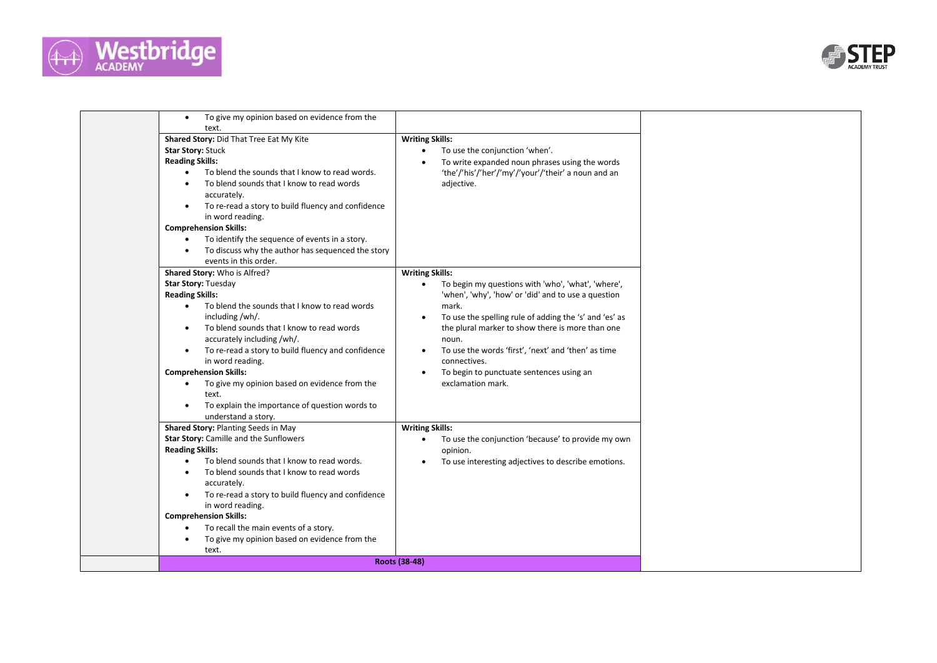



| To give my opinion based on evidence from the<br>$\bullet$<br>text. |                                                                  |  |
|---------------------------------------------------------------------|------------------------------------------------------------------|--|
| Shared Story: Did That Tree Eat My Kite                             | <b>Writing Skills:</b>                                           |  |
| <b>Star Story: Stuck</b>                                            | To use the conjunction 'when'.<br>$\bullet$                      |  |
| <b>Reading Skills:</b>                                              | To write expanded noun phrases using the words                   |  |
| To blend the sounds that I know to read words.<br>$\bullet$         | 'the'/'his'/'her'/'my'/'your'/'their' a noun and an              |  |
| To blend sounds that I know to read words                           | adjective.                                                       |  |
| accurately.                                                         |                                                                  |  |
| To re-read a story to build fluency and confidence<br>$\bullet$     |                                                                  |  |
| in word reading.                                                    |                                                                  |  |
| <b>Comprehension Skills:</b>                                        |                                                                  |  |
| To identify the sequence of events in a story.<br>$\bullet$         |                                                                  |  |
| To discuss why the author has sequenced the story                   |                                                                  |  |
| events in this order.                                               |                                                                  |  |
| Shared Story: Who is Alfred?                                        | <b>Writing Skills:</b>                                           |  |
| <b>Star Story: Tuesday</b>                                          | To begin my questions with 'who', 'what', 'where',<br>$\bullet$  |  |
| <b>Reading Skills:</b>                                              | 'when', 'why', 'how' or 'did' and to use a question              |  |
| To blend the sounds that I know to read words<br>$\bullet$          | mark.                                                            |  |
| including/wh/.                                                      | To use the spelling rule of adding the 's' and 'es' as           |  |
| To blend sounds that I know to read words                           | the plural marker to show there is more than one                 |  |
| accurately including /wh/.                                          | noun.                                                            |  |
| To re-read a story to build fluency and confidence<br>$\bullet$     | To use the words 'first', 'next' and 'then' as time<br>$\bullet$ |  |
| in word reading.                                                    | connectives.                                                     |  |
| <b>Comprehension Skills:</b>                                        | To begin to punctuate sentences using an                         |  |
| To give my opinion based on evidence from the<br>$\bullet$<br>text. | exclamation mark.                                                |  |
| To explain the importance of question words to                      |                                                                  |  |
| understand a story.                                                 |                                                                  |  |
| Shared Story: Planting Seeds in May                                 | <b>Writing Skills:</b>                                           |  |
| Star Story: Camille and the Sunflowers                              | To use the conjunction 'because' to provide my own<br>$\bullet$  |  |
| <b>Reading Skills:</b>                                              | opinion.                                                         |  |
| To blend sounds that I know to read words.<br>$\bullet$             | To use interesting adjectives to describe emotions.              |  |
| To blend sounds that I know to read words                           |                                                                  |  |
| accurately.                                                         |                                                                  |  |
| To re-read a story to build fluency and confidence                  |                                                                  |  |
| in word reading.                                                    |                                                                  |  |
| <b>Comprehension Skills:</b>                                        |                                                                  |  |
| To recall the main events of a story.<br>$\bullet$                  |                                                                  |  |
| To give my opinion based on evidence from the                       |                                                                  |  |
| text.                                                               |                                                                  |  |
|                                                                     | Roots (38-48)                                                    |  |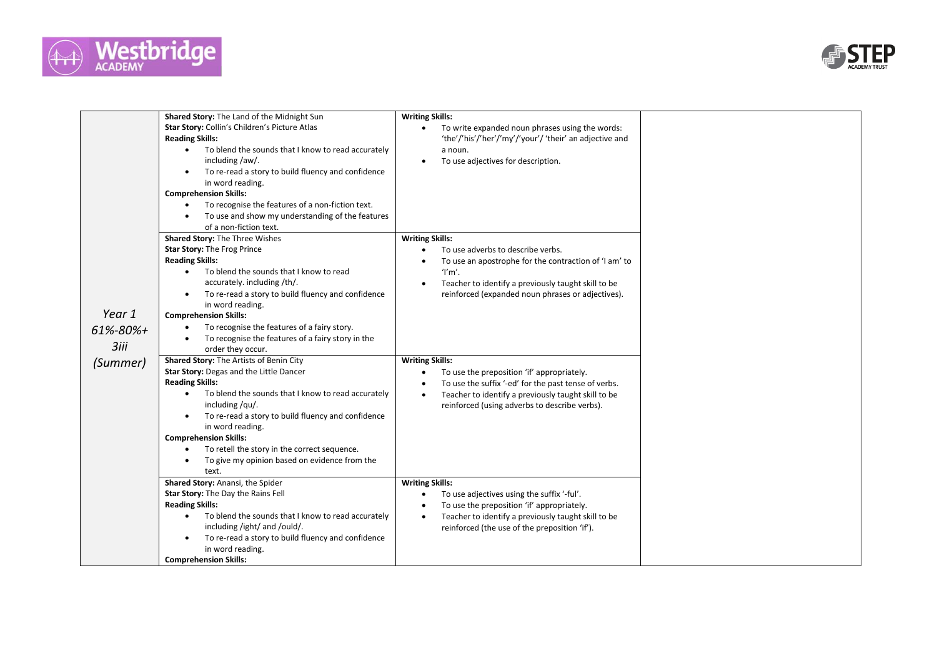



|                    | Shared Story: The Land of the Midnight Sun<br>Star Story: Collin's Children's Picture Atlas<br><b>Reading Skills:</b><br>To blend the sounds that I know to read accurately<br>$\bullet$<br>including /aw/.<br>To re-read a story to build fluency and confidence<br>$\bullet$<br>in word reading.<br><b>Comprehension Skills:</b><br>To recognise the features of a non-fiction text.<br>To use and show my understanding of the features<br>of a non-fiction text. | <b>Writing Skills:</b><br>To write expanded noun phrases using the words:<br>'the'/'his'/'her'/'my'/'your'/ 'their' an adjective and<br>a noun.<br>To use adjectives for description.                                                                |  |
|--------------------|----------------------------------------------------------------------------------------------------------------------------------------------------------------------------------------------------------------------------------------------------------------------------------------------------------------------------------------------------------------------------------------------------------------------------------------------------------------------|------------------------------------------------------------------------------------------------------------------------------------------------------------------------------------------------------------------------------------------------------|--|
|                    | Shared Story: The Three Wishes<br>Star Story: The Frog Prince<br><b>Reading Skills:</b>                                                                                                                                                                                                                                                                                                                                                                              | <b>Writing Skills:</b><br>To use adverbs to describe verbs.<br>To use an apostrophe for the contraction of 'I am' to                                                                                                                                 |  |
| Year 1<br>61%-80%+ | To blend the sounds that I know to read<br>$\bullet$<br>accurately. including /th/.<br>To re-read a story to build fluency and confidence<br>$\bullet$<br>in word reading.<br><b>Comprehension Skills:</b><br>To recognise the features of a fairy story.<br>To recognise the features of a fairy story in the<br>$\bullet$                                                                                                                                          | T'm'.<br>Teacher to identify a previously taught skill to be<br>reinforced (expanded noun phrases or adjectives).                                                                                                                                    |  |
| 3iii<br>(Summer)   | order they occur.<br>Shared Story: The Artists of Benin City<br>Star Story: Degas and the Little Dancer<br><b>Reading Skills:</b>                                                                                                                                                                                                                                                                                                                                    | <b>Writing Skills:</b><br>To use the preposition 'if' appropriately.<br>$\bullet$<br>To use the suffix '-ed' for the past tense of verbs.                                                                                                            |  |
|                    | To blend the sounds that I know to read accurately<br>including/qu/.<br>To re-read a story to build fluency and confidence<br>$\bullet$<br>in word reading.<br><b>Comprehension Skills:</b>                                                                                                                                                                                                                                                                          | Teacher to identify a previously taught skill to be<br>$\bullet$<br>reinforced (using adverbs to describe verbs).                                                                                                                                    |  |
|                    | To retell the story in the correct sequence.<br>To give my opinion based on evidence from the<br>$\bullet$<br>text.                                                                                                                                                                                                                                                                                                                                                  |                                                                                                                                                                                                                                                      |  |
|                    | Shared Story: Anansi, the Spider<br>Star Story: The Day the Rains Fell<br><b>Reading Skills:</b><br>To blend the sounds that I know to read accurately<br>$\bullet$<br>including /ight/ and /ould/.<br>To re-read a story to build fluency and confidence<br>$\bullet$<br>in word reading.<br><b>Comprehension Skills:</b>                                                                                                                                           | <b>Writing Skills:</b><br>To use adjectives using the suffix '-ful'.<br>To use the preposition 'if' appropriately.<br>$\bullet$<br>Teacher to identify a previously taught skill to be<br>$\bullet$<br>reinforced (the use of the preposition 'if'). |  |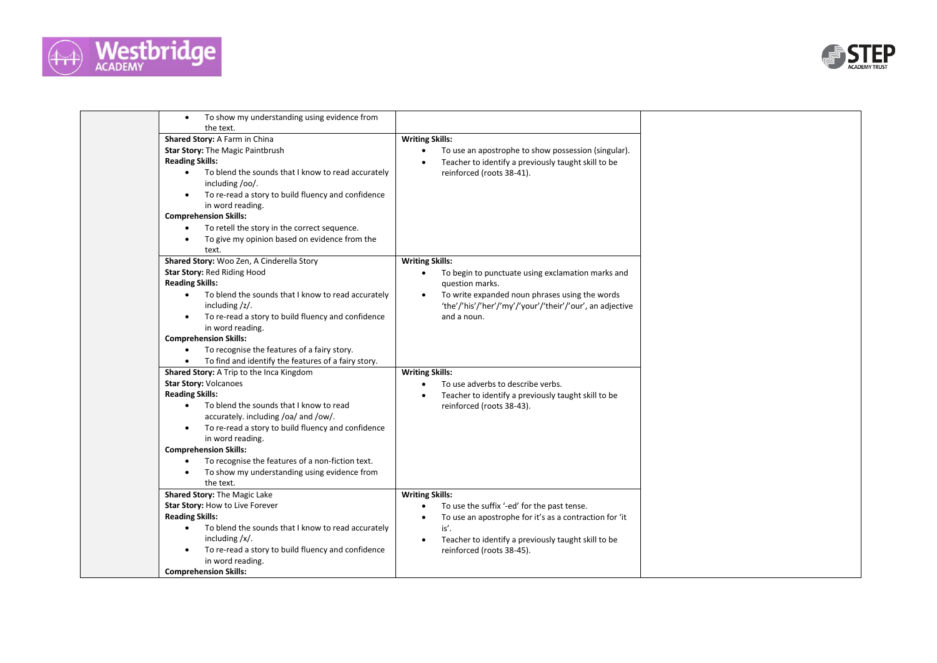



| To show my understanding using evidence from<br>$\bullet$<br>the text.                                                                                                                                                                                                                                                                                                                                                        |                                                                                                                                                                                                                                          |  |
|-------------------------------------------------------------------------------------------------------------------------------------------------------------------------------------------------------------------------------------------------------------------------------------------------------------------------------------------------------------------------------------------------------------------------------|------------------------------------------------------------------------------------------------------------------------------------------------------------------------------------------------------------------------------------------|--|
| Shared Story: A Farm in China                                                                                                                                                                                                                                                                                                                                                                                                 | <b>Writing Skills:</b>                                                                                                                                                                                                                   |  |
| Star Story: The Magic Paintbrush<br><b>Reading Skills:</b><br>To blend the sounds that I know to read accurately<br>$\bullet$<br>including /oo/.                                                                                                                                                                                                                                                                              | To use an apostrophe to show possession (singular).<br>$\bullet$<br>Teacher to identify a previously taught skill to be<br>reinforced (roots 38-41).                                                                                     |  |
| To re-read a story to build fluency and confidence<br>$\bullet$<br>in word reading.                                                                                                                                                                                                                                                                                                                                           |                                                                                                                                                                                                                                          |  |
| <b>Comprehension Skills:</b><br>To retell the story in the correct sequence.<br>$\bullet$                                                                                                                                                                                                                                                                                                                                     |                                                                                                                                                                                                                                          |  |
| To give my opinion based on evidence from the<br>٠<br>text.                                                                                                                                                                                                                                                                                                                                                                   |                                                                                                                                                                                                                                          |  |
| Shared Story: Woo Zen, A Cinderella Story<br>Star Story: Red Riding Hood<br><b>Reading Skills:</b>                                                                                                                                                                                                                                                                                                                            | <b>Writing Skills:</b><br>To begin to punctuate using exclamation marks and<br>$\bullet$<br>question marks.                                                                                                                              |  |
| To blend the sounds that I know to read accurately<br>$\bullet$<br>including $\frac{z}{$ .<br>To re-read a story to build fluency and confidence<br>$\bullet$<br>in word reading.                                                                                                                                                                                                                                             | To write expanded noun phrases using the words<br>'the'/'his'/'her'/'my'/'your'/'their'/'our', an adjective<br>and a noun.                                                                                                               |  |
| <b>Comprehension Skills:</b><br>To recognise the features of a fairy story.<br>$\bullet$<br>To find and identify the features of a fairy story.<br>$\bullet$                                                                                                                                                                                                                                                                  |                                                                                                                                                                                                                                          |  |
| Shared Story: A Trip to the Inca Kingdom<br><b>Star Story: Volcanoes</b><br><b>Reading Skills:</b><br>To blend the sounds that I know to read<br>$\bullet$<br>accurately. including /oa/ and /ow/.<br>To re-read a story to build fluency and confidence<br>in word reading.<br><b>Comprehension Skills:</b><br>To recognise the features of a non-fiction text.<br>$\bullet$<br>To show my understanding using evidence from | <b>Writing Skills:</b><br>To use adverbs to describe verbs.<br>$\bullet$<br>Teacher to identify a previously taught skill to be<br>$\bullet$<br>reinforced (roots 38-43).                                                                |  |
| the text.<br>Shared Story: The Magic Lake                                                                                                                                                                                                                                                                                                                                                                                     | <b>Writing Skills:</b>                                                                                                                                                                                                                   |  |
| Star Story: How to Live Forever<br><b>Reading Skills:</b><br>To blend the sounds that I know to read accurately<br>$\bullet$<br>including $/x/$ .<br>To re-read a story to build fluency and confidence<br>$\bullet$<br>in word reading.<br><b>Comprehension Skills:</b>                                                                                                                                                      | To use the suffix '-ed' for the past tense.<br>$\bullet$<br>To use an apostrophe for it's as a contraction for 'it<br>$\bullet$<br>is'.<br>Teacher to identify a previously taught skill to be<br>$\bullet$<br>reinforced (roots 38-45). |  |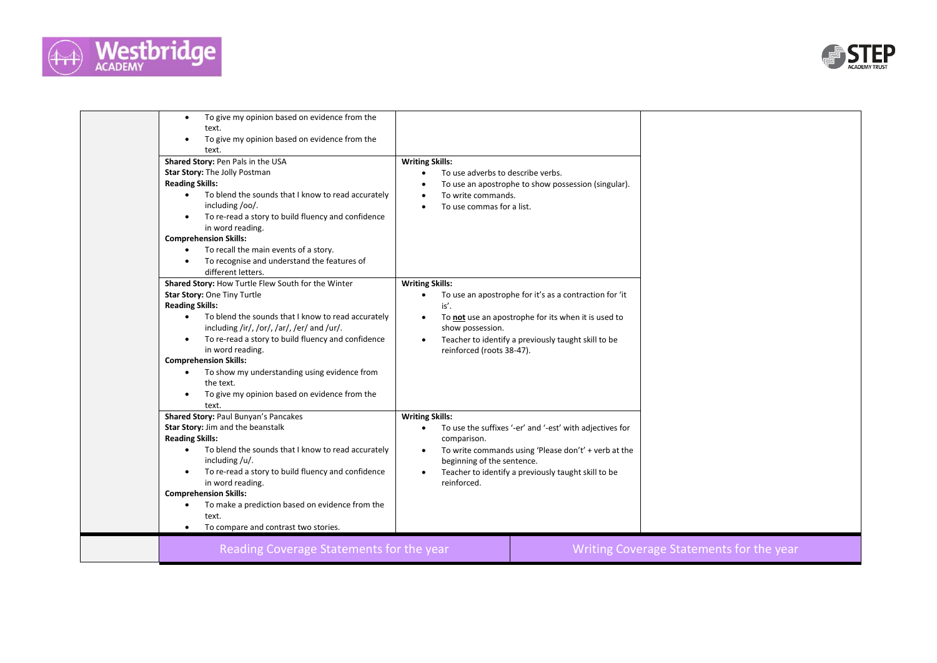



| text.<br>To give my opinion based on evidence from the<br>$\bullet$<br>text.<br>Shared Story: Pen Pals in the USA<br><b>Writing Skills:</b><br>Star Story: The Jolly Postman<br>To use adverbs to describe verbs.<br><b>Reading Skills:</b><br>To use an apostrophe to show possession (singular).<br>To blend the sounds that I know to read accurately<br>$\bullet$<br>To write commands.<br>including /oo/.<br>To use commas for a list.<br>$\bullet$<br>To re-read a story to build fluency and confidence<br>in word reading.<br><b>Comprehension Skills:</b><br>To recall the main events of a story.<br>$\bullet$<br>To recognise and understand the features of<br>different letters.<br>Shared Story: How Turtle Flew South for the Winter<br><b>Writing Skills:</b><br>Star Story: One Tiny Turtle<br>To use an apostrophe for it's as a contraction for 'it<br>$\bullet$<br><b>Reading Skills:</b><br>is'.<br>To blend the sounds that I know to read accurately<br>$\bullet$<br>To not use an apostrophe for its when it is used to<br>$\bullet$<br>including /ir/, /or/, /ar/, /er/ and /ur/.<br>show possession.<br>To re-read a story to build fluency and confidence<br>Teacher to identify a previously taught skill to be<br>$\bullet$<br>$\bullet$<br>in word reading.<br>reinforced (roots 38-47).<br><b>Comprehension Skills:</b><br>To show my understanding using evidence from<br>the text.<br>To give my opinion based on evidence from the<br>$\bullet$<br>text.<br><b>Shared Story: Paul Bunyan's Pancakes</b><br><b>Writing Skills:</b><br>Star Story: Jim and the beanstalk<br>To use the suffixes '-er' and '-est' with adjectives for<br>$\bullet$<br><b>Reading Skills:</b><br>comparison.<br>To blend the sounds that I know to read accurately<br>To write commands using 'Please don't' + verb at the<br>$\bullet$<br>$\bullet$<br>including $/u/$ .<br>beginning of the sentence.<br>To re-read a story to build fluency and confidence<br>Teacher to identify a previously taught skill to be<br>in word reading.<br>reinforced.<br><b>Comprehension Skills:</b><br>To make a prediction based on evidence from the<br>text.<br>To compare and contrast two stories.<br>$\bullet$ | Reading Coverage Statements for the year                   |  | Writing Coverage Statements for the year |
|------------------------------------------------------------------------------------------------------------------------------------------------------------------------------------------------------------------------------------------------------------------------------------------------------------------------------------------------------------------------------------------------------------------------------------------------------------------------------------------------------------------------------------------------------------------------------------------------------------------------------------------------------------------------------------------------------------------------------------------------------------------------------------------------------------------------------------------------------------------------------------------------------------------------------------------------------------------------------------------------------------------------------------------------------------------------------------------------------------------------------------------------------------------------------------------------------------------------------------------------------------------------------------------------------------------------------------------------------------------------------------------------------------------------------------------------------------------------------------------------------------------------------------------------------------------------------------------------------------------------------------------------------------------------------------------------------------------------------------------------------------------------------------------------------------------------------------------------------------------------------------------------------------------------------------------------------------------------------------------------------------------------------------------------------------------------------------------------------------------------------------------------------------------------------------------------------------------------|------------------------------------------------------------|--|------------------------------------------|
|                                                                                                                                                                                                                                                                                                                                                                                                                                                                                                                                                                                                                                                                                                                                                                                                                                                                                                                                                                                                                                                                                                                                                                                                                                                                                                                                                                                                                                                                                                                                                                                                                                                                                                                                                                                                                                                                                                                                                                                                                                                                                                                                                                                                                        |                                                            |  |                                          |
|                                                                                                                                                                                                                                                                                                                                                                                                                                                                                                                                                                                                                                                                                                                                                                                                                                                                                                                                                                                                                                                                                                                                                                                                                                                                                                                                                                                                                                                                                                                                                                                                                                                                                                                                                                                                                                                                                                                                                                                                                                                                                                                                                                                                                        |                                                            |  |                                          |
|                                                                                                                                                                                                                                                                                                                                                                                                                                                                                                                                                                                                                                                                                                                                                                                                                                                                                                                                                                                                                                                                                                                                                                                                                                                                                                                                                                                                                                                                                                                                                                                                                                                                                                                                                                                                                                                                                                                                                                                                                                                                                                                                                                                                                        | To give my opinion based on evidence from the<br>$\bullet$ |  |                                          |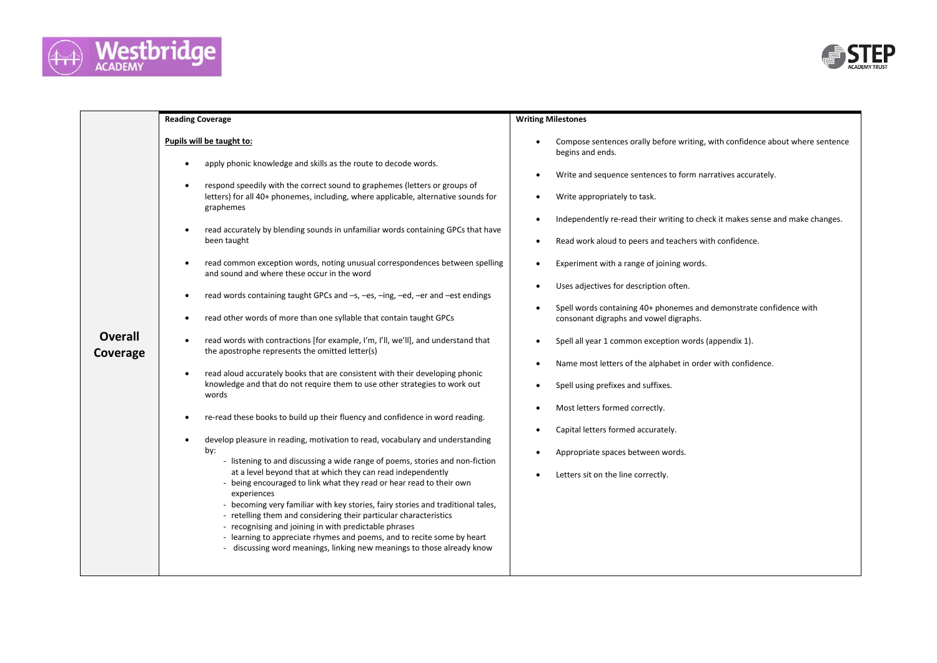